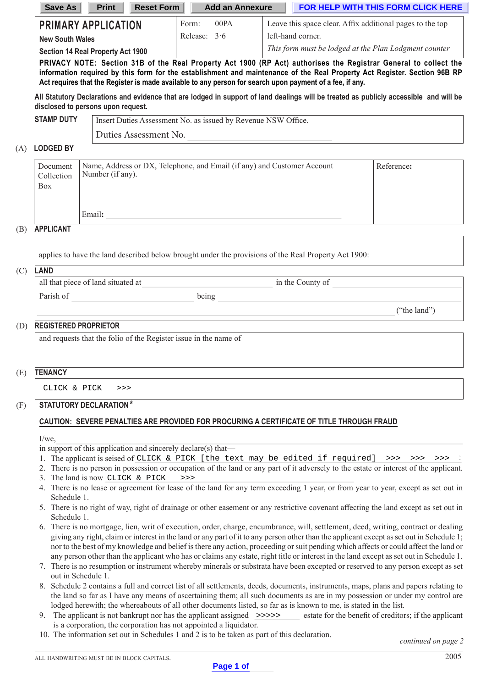| <b>Save As</b>                                                                                                                                                                                                                                                                                                                                            | <b>Print</b><br><b>Reset Form</b>                             | <b>Add an Annexure</b> | FOR HELP WITH THIS FORM CLICK HERE                        |  |  |  |  |
|-----------------------------------------------------------------------------------------------------------------------------------------------------------------------------------------------------------------------------------------------------------------------------------------------------------------------------------------------------------|---------------------------------------------------------------|------------------------|-----------------------------------------------------------|--|--|--|--|
| <b>PRIMARY APPLICATION</b>                                                                                                                                                                                                                                                                                                                                |                                                               | 00PA<br>Form:          | Leave this space clear. Affix additional pages to the top |  |  |  |  |
| <b>New South Wales</b>                                                                                                                                                                                                                                                                                                                                    |                                                               | Release: $3.6$         | left-hand corner.                                         |  |  |  |  |
|                                                                                                                                                                                                                                                                                                                                                           | <b>Section 14 Real Property Act 1900</b>                      |                        | This form must be lodged at the Plan Lodgment counter     |  |  |  |  |
| PRIVACY NOTE: Section 31B of the Real Property Act 1900 (RP Act) authorises the Registrar General to collect the<br>information required by this form for the establishment and maintenance of the Real Property Act Register. Section 96B RP<br>Act requires that the Register is made available to any person for search upon payment of a fee, if any. |                                                               |                        |                                                           |  |  |  |  |
| All Statutory Declarations and evidence that are lodged in support of land dealings will be treated as publicly accessible and will be<br>disclosed to persons upon request.                                                                                                                                                                              |                                                               |                        |                                                           |  |  |  |  |
| <b>STAMP DUTY</b>                                                                                                                                                                                                                                                                                                                                         | Insert Duties Assessment No. as issued by Revenue NSW Office. |                        |                                                           |  |  |  |  |
|                                                                                                                                                                                                                                                                                                                                                           | Duties Assessment No.                                         |                        |                                                           |  |  |  |  |

### (A) **LODGED BY**

| Document<br>Collection<br>Box | Name, Address or DX, Telephone, and Email (if any) and Customer Account<br>Number (if any). | Reference: |
|-------------------------------|---------------------------------------------------------------------------------------------|------------|
| .                             | Email:                                                                                      |            |

#### (B) **APPLICANT**

applies to have the land described below brought under the provisions of the Real Property Act 1900:

#### (C) **LAND**

| all that piece of land situated at |       | in the County of |              |
|------------------------------------|-------|------------------|--------------|
| Parish of                          | being |                  |              |
|                                    |       |                  | ("the land") |
| <b>REGISTERED PROPRIETOR</b><br>D) |       |                  |              |

### (D) **REGISTERED PROPRIETOR**

and requests that the folio of the Register issue in the name of

## (E) **TENANCY**

CLICK & PICK >>>

### (F) **STATUTORY DECLARATION\***

### **CAUTION: SEVERE PENALTIES ARE PROVIDED FOR PROCURING A CERTIFICATE OF TITLE THROUGH FRAUD**

 $I/we$ 

in support of this application and sincerely declare(s) that—

- 1. The applicant is seised of CLICK & PICK [the text may be edited if required] >>> >>> >>> >>>
- 2. There is no person in possession or occupation of the land or any part of it adversely to the estate or interest of the applicant. 3. The land is now CLICK & PICK >>>
- 4. There is no lease or agreement for lease of the land for any term exceeding 1 year, or from year to year, except as set out in Schedule 1.
- 5. There is no right of way, right of drainage or other easement or any restrictive covenant affecting the land except as set out in Schedule 1.
- 6. There is no mortgage, lien, writ of execution, order, charge, encumbrance, will, settlement, deed, writing, contract or dealing giving any right, claim or interest in the land or any part of it to any person other than the applicant except as set out in Schedule 1; nor to the best of my knowledge and belief is there any action, proceeding or suit pending which affects or could affect the land or any person other than the applicant who has or claims any estate, right title or interest in the land except as set out in Schedule 1.
- 7. There is no resumption or instrument whereby minerals or substrata have been excepted or reserved to any person except as set out in Schedule 1.
- 8. Schedule 2 contains a full and correct list of all settlements, deeds, documents, instruments, maps, plans and papers relating to the land so far as I have any means of ascertaining them; all such documents as are in my possession or under my control are lodged herewith; the whereabouts of all other documents listed, so far as is known to me, is stated in the list.
- 9. The applicant is not bankrupt nor has the applicant assigned >>>>>>> estate for the benefit of creditors; if the applicant is a corporation, the corporation has not appointed a liquidator.
	- 10. The information set out in Schedules 1 and 2 is to be taken as part of this declaration.

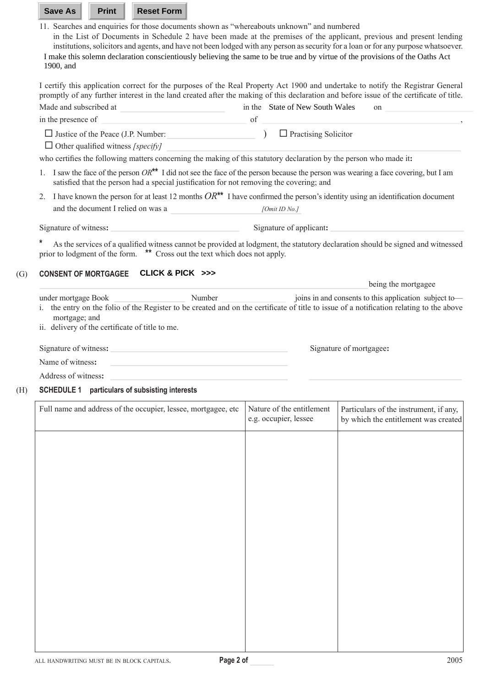11. Searches and enquiries for those documents shown as "whereabouts unknown" and numbered

 in the List of Documents in Schedule 2 have been made at the premises of the applicant, previous and present lending institutions, solicitors and agents, and have not been lodged with any person as security for a loan or for any purpose whatsoever. I make this solemn declaration conscientiously believing the same to be true and by virtue of the provisions of the Oaths Act 1900, and

I certify this application correct for the purposes of the Real Property Act 1900 and undertake to notify the Registrar General promptly of any further interest in the land created after the making of this declaration and before issue of the certificate of title.

| Made and subscribed at                                                                   | in the State of New South Wales<br>on                                                                                                |
|------------------------------------------------------------------------------------------|--------------------------------------------------------------------------------------------------------------------------------------|
| in the presence of                                                                       | of                                                                                                                                   |
| $\Box$ Justice of the Peace (J.P. Number:                                                | $\Box$ Practising Solicitor                                                                                                          |
| $\Box$ Other qualified witness [specify]                                                 |                                                                                                                                      |
|                                                                                          | who certifies the following matters concerning the making of this statutory declaration by the person who made it:                   |
| satisfied that the person had a special justification for not removing the covering; and | I saw the face of the person $OR^{**}$ I did not see the face of the person because the person was wearing a face covering, but I am |
| $2_{1}$                                                                                  | I have known the person for at least 12 months $OR^{**}$ I have confirmed the person's identity using an identification document     |
| and the document I relied on was a                                                       | [Omit ID No.]                                                                                                                        |
| Signature of witness:                                                                    | Signature of applicant:                                                                                                              |
| *<br>prior to lodgment of the form. ** Cross out the text which does not apply.          | As the services of a qualified witness cannot be provided at lodgment, the statutory declaration should be signed and witnessed      |
| CLICK & PICK >>><br><b>CONSENT OF MORTGAGEE</b>                                          |                                                                                                                                      |
|                                                                                          | being the mortgagee                                                                                                                  |

under mortgage Book Number Number joins in and consents to this application subject to i. the entry on the folio of the Register to be created and on the certificate of title to issue of a notification relating to the above mortgage; and

 ii. delivery of the certificate of title to me.

| Signature of witness: | Signature of mortgagee: |
|-----------------------|-------------------------|
|                       |                         |

Name of witness**:**

Address of witness**:**

## (H) **SCHEDULE 1 particulars of subsisting interests**

| Full name and address of the occupier, lessee, mortgagee, etc | Nature of the entitlement<br>e.g. occupier, lessee | Particulars of the instrument, if any,<br>by which the entitlement was created |
|---------------------------------------------------------------|----------------------------------------------------|--------------------------------------------------------------------------------|
|                                                               |                                                    |                                                                                |
|                                                               |                                                    |                                                                                |
|                                                               |                                                    |                                                                                |
|                                                               |                                                    |                                                                                |
|                                                               |                                                    |                                                                                |
|                                                               |                                                    |                                                                                |
|                                                               |                                                    |                                                                                |
|                                                               |                                                    |                                                                                |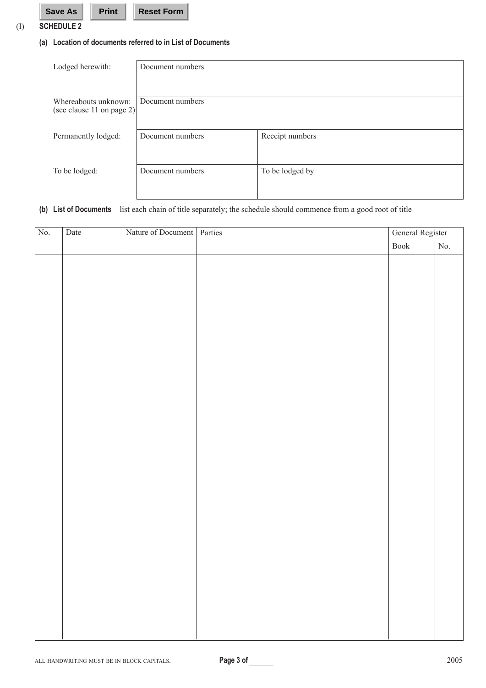# **(a) Location of documents referred to in List of Documents**

| Lodged herewith:                                  | Document numbers |                 |
|---------------------------------------------------|------------------|-----------------|
|                                                   |                  |                 |
| Whereabouts unknown:<br>(see clause 11 on page 2) | Document numbers |                 |
|                                                   |                  |                 |
| Permanently lodged:                               | Document numbers | Receipt numbers |
|                                                   |                  |                 |
| To be lodged:                                     | Document numbers | To be lodged by |
|                                                   |                  |                 |
|                                                   |                  |                 |

# **(b) List of Documents** list each chain of title separately; the schedule should commence from a good root of title

| $\rm No.$ | Date | Nature of Document   Parties | General Register         |                  |
|-----------|------|------------------------------|--------------------------|------------------|
|           |      |                              | $\overline{\text{Book}}$ | $\overline{No.}$ |
|           |      |                              |                          |                  |
|           |      |                              |                          |                  |
|           |      |                              |                          |                  |
|           |      |                              |                          |                  |
|           |      |                              |                          |                  |
|           |      |                              |                          |                  |
|           |      |                              |                          |                  |
|           |      |                              |                          |                  |
|           |      |                              |                          |                  |
|           |      |                              |                          |                  |
|           |      |                              |                          |                  |
|           |      |                              |                          |                  |
|           |      |                              |                          |                  |
|           |      |                              |                          |                  |
|           |      |                              |                          |                  |
|           |      |                              |                          |                  |
|           |      |                              |                          |                  |
|           |      |                              |                          |                  |
|           |      |                              |                          |                  |
|           |      |                              |                          |                  |
|           |      |                              |                          |                  |
|           |      |                              |                          |                  |
|           |      |                              |                          |                  |
|           |      |                              |                          |                  |
|           |      |                              |                          |                  |
|           |      |                              |                          |                  |
|           |      |                              |                          |                  |